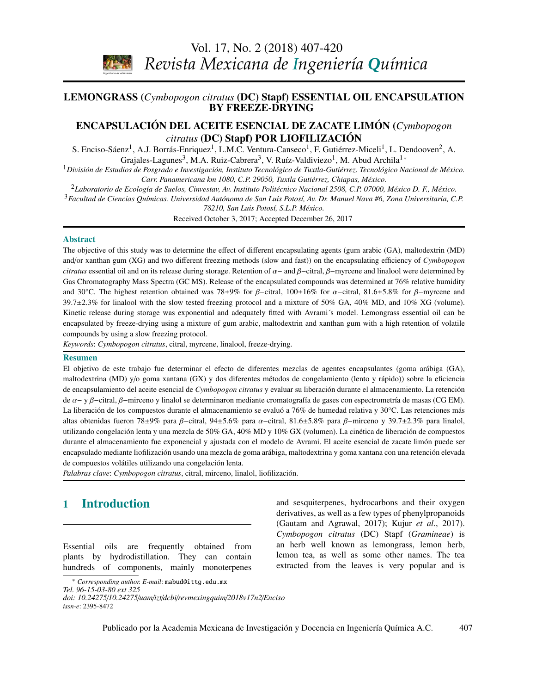*Ingeniería de alimentos* 

Vol. 17, No. 2 (2018) [407](#page-0-0)[-420](#page-7-0) *Revista Mexicana de Ingeniería Química*

# <span id="page-0-0"></span>LEMONGRASS (*Cymbopogon citratus* (DC) Stapf) ESSENTIAL OIL ENCAPSULATION **BY FREEZE-DRYING**

### ENCAPSULACIÓN DEL ACEITE ESENCIAL DE ZACATE LIMÓN (*Cymbopogon citratus* (DC) Stapf) POR LIOFILIZACIÓN

S. Enciso-Sáenz<sup>1</sup>, A.J. Borrás-Enriquez<sup>1</sup>, L.M.C. Ventura-Canseco<sup>1</sup>, F. Gutiérrez-Miceli<sup>1</sup>, L. Dendooven<sup>2</sup>, A. Grajales-Lagunes<sup>3</sup>, M.A. Ruiz-Cabrera<sup>3</sup>, V. Ruíz-Valdiviezo<sup>1</sup>, M. Abud Archila<sup>1</sup>\*

 (Desarrollo y aplicación de las ecuaciones de Stefan-Maxwell) <sup>1</sup>*División de Estudios de Posgrado e Investigación, Instituto Tecnológico de Tuxtla-Gutiérrez. Tecnológico Nacional de México. Stephen Whitaker Carr. Panamericana km 1080, C.P. 29050, Tuxtla Gutiérrez, Chiapas, México.*

<sup>2</sup>*Laboratorio de Ecología de Suelos, Cinvestav, Av. Instituto Politécnico Nacional 2508, C.P. 07000, México D. F., México.*

<sup>3</sup>*Facultad de Ciencias Químicas. Universidad Autónoma de San Luis Potosí, Av. Dr. Manuel Nava #6, Zona Universitaria, C.P.*

*Biotecnología / Biotechnology 78210, San Luis Potosí, S.L.P. México.*

Received October 3, 2017; Accepted December 26, 2017

#### Abstract

and/or xanthan gum (XG) and two different freezing methods (slow and fast)) on the encapsulating efficiency of Cymbopogon *citratus* essential oil and on its release during storage. Retention of  $\alpha$  – and  $\beta$ –citral,  $\beta$ –myrcene and linalool were determined by  $\alpha$  and  $\beta$  and  $\beta$  and  $\beta$  and  $\beta$  and  $\beta$  and  $\beta$  and  $\beta$  and  $\beta$  an Gas Chromatography Mass Spectra (GC MS). Release of the encapsulated compounds was determined at 76% relative humidity and 30°C. The highest retention obtained was 78±9% for β−citral, 100±16% for α−citral, 81.6±5.8% for β−myrcene and<br>20.7+2.2% for lingleal with the slow tested frequing protected and a mixture of 50% GA 40% MD and 10% VG 39.7±2.3% for linalool with the slow tested freezing protocol and a mixture of 50% GA, 40% MD, and 10% XG (volume). encapsulated by freeze-drying using a mixture of gum arabic, maltodextrin and xanthan gum with a high retention of volatile *L. Mayorga-Reyes, P. Bustamante-Camilo, A. Gutiérrez-Nava, E. Barranco-Florido y A. Azaola-*compounds by using a slow freezing protocol. The objective of this study was to determine the effect of different encapsulating agents (gum arabic (GA), maltodextrin (MD) Kinetic release during storage was exponential and adequately fitted with Avrami´s model. Lemongrass essential oil can be

*Espinosa Keywords*: *Cymbopogon citratus*, citral, myrcene, linalool, freeze-drying.

#### Resumen

maltodextrina (MD) y/o goma xantana (GX) y dos diferentes métodos de congelamiento (lento y rápido)) sobre la eficiencia de encapsulamiento del aceite esencial de Cymbopogon citratus y evaluar su liberación durante el almacenamiento. La retención de α− y β−citral, β−mirceno y linalol se determinaron mediante cromatografía de gases con espectrometría de masas (CG EM).<br>La liberación de los compuestos durante el elmecenemiento se evoluó e 76% de humodod relativo y 2 altas obtenidas fueron 78±9% para β−citral, 94±5.6% para α−citral, 81.6±5.8% para β−mirceno y 39.7±2.3% para linalol,<br>utilizande concelesián latte u una mazela de 50% CA 40% MD u 10% CX (velumen). La sinática de liberaci *Ingeniería de procesos / Process engineering*  durante el almacenamiento fue exponencial y ajustada con el modelo de Avrami. El aceite esencial de zacate limón puede ser encapsulado mediante liofilización usando una mezcla de goma arábiga, maltodextrina y goma xantana con una retención elevada de compuestos volátiles utilizando una congelación lenta. El objetivo de este trabajo fue determinar el efecto de diferentes mezclas de agentes encapsulantes (goma arábiga (GA), La liberación de los compuestos durante el almacenamiento se evaluó a 76% de humedad relativa y 30°C. Las retenciones más utilizando congelación lenta y una mezcla de 50% GA, 40% MD y 10% GX (volumen). La cinética de liberación de compuestos

Palabras clave: *Cymbopogon citratus*, citral, mirceno, linalol, liofilización.

# 1 Introduction

Essential oils are frequently obtained from plants by hydrodistillation. They can contain hundreds of components, mainly monoterpenes

<span id="page-0-1"></span>\* *Corresponding author. E-mail*: mabud@ittg.edu.mx

and sesquiterpenes, hydrocarbons and their oxygen derivatives, as well as a few types of phenylpropanoids (Gautam and Agrawal, 2017); Kujur *et al*., 2017). *Cymbopogon citratus* (DC) Stapf (*Gramineae*) is an herb well known as lemongrass, lemon herb, lemon tea, as well as some other names. The tea extracted from the leaves is very popular and is

*Tel. 96-15-03-80 ext 325 doi: 10.24275*/*10.24275*/*uam*/*izt*/*dcbi*/*revmexingquim*/*2018v17n2*/*Enciso issn-e*: 2395-8472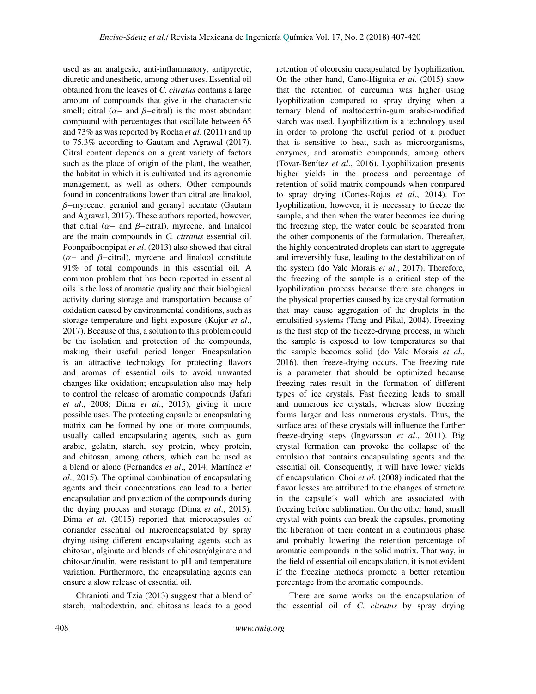used as an analgesic, anti-inflammatory, antipyretic, diuretic and anesthetic, among other uses. Essential oil obtained from the leaves of *C. citratus* contains a large amount of compounds that give it the characteristic smell; citral ( $\alpha$ - and  $\beta$ -citral) is the most abundant compound with percentages that oscillate between 65 and 73% as was reported by Rocha *et al*. (2011) and up to 75.3% according to Gautam and Agrawal (2017). Citral content depends on a great variety of factors such as the place of origin of the plant, the weather, the habitat in which it is cultivated and its agronomic management, as well as others. Other compounds found in concentrations lower than citral are linalool, β−myrcene, geraniol and geranyl acentate (Gautam and Agrawal, 2017). These authors reported, however, that citral ( $\alpha$ - and  $\beta$ -citral), myrcene, and linalool are the main compounds in *C. citratus* essential oil. Poonpaiboonpipat *et al*. (2013) also showed that citral  $(\alpha-$  and  $\beta$ -citral), myrcene and linalool constitute 91% of total compounds in this essential oil. A common problem that has been reported in essential oils is the loss of aromatic quality and their biological activity during storage and transportation because of oxidation caused by environmental conditions, such as storage temperature and light exposure (Kujur *et al*., 2017). Because of this, a solution to this problem could be the isolation and protection of the compounds, making their useful period longer. Encapsulation is an attractive technology for protecting flavors and aromas of essential oils to avoid unwanted changes like oxidation; encapsulation also may help to control the release of aromatic compounds (Jafari *et al*., 2008; Dima *et al*., 2015), giving it more possible uses. The protecting capsule or encapsulating matrix can be formed by one or more compounds, usually called encapsulating agents, such as gum arabic, gelatin, starch, soy protein, whey protein, and chitosan, among others, which can be used as a blend or alone (Fernandes *et al*., 2014; Martínez *et al*., 2015). The optimal combination of encapsulating agents and their concentrations can lead to a better encapsulation and protection of the compounds during the drying process and storage (Dima *et al*., 2015). Dima *et al*. (2015) reported that microcapsules of coriander essential oil microencapsulated by spray drying using different encapsulating agents such as chitosan, alginate and blends of chitosan/alginate and chitosan/inulin, were resistant to pH and temperature variation. Furthermore, the encapsulating agents can ensure a slow release of essential oil.

Chranioti and Tzia (2013) suggest that a blend of starch, maltodextrin, and chitosans leads to a good retention of oleoresin encapsulated by lyophilization. On the other hand, Cano-Higuita *et al*. (2015) show that the retention of curcumin was higher using lyophilization compared to spray drying when a ternary blend of maltodextrin-gum arabic-modified starch was used. Lyophilization is a technology used in order to prolong the useful period of a product that is sensitive to heat, such as microorganisms, enzymes, and aromatic compounds, among others (Tovar-Benítez *et al*., 2016). Lyophilization presents higher yields in the process and percentage of retention of solid matrix compounds when compared to spray drying (Cortes-Rojas *et al*., 2014). For lyophilization, however, it is necessary to freeze the sample, and then when the water becomes ice during the freezing step, the water could be separated from the other components of the formulation. Thereafter, the highly concentrated droplets can start to aggregate and irreversibly fuse, leading to the destabilization of the system (do Vale Morais *et al*., 2017). Therefore, the freezing of the sample is a critical step of the lyophilization process because there are changes in the physical properties caused by ice crystal formation that may cause aggregation of the droplets in the emulsified systems (Tang and Pikal, 2004). Freezing is the first step of the freeze-drying process, in which the sample is exposed to low temperatures so that the sample becomes solid (do Vale Morais *et al*., 2016), then freeze-drying occurs. The freezing rate is a parameter that should be optimized because freezing rates result in the formation of different types of ice crystals. Fast freezing leads to small and numerous ice crystals, whereas slow freezing forms larger and less numerous crystals. Thus, the surface area of these crystals will influence the further freeze-drying steps (Ingvarsson *et al*., 2011). Big crystal formation can provoke the collapse of the emulsion that contains encapsulating agents and the essential oil. Consequently, it will have lower yields of encapsulation. Choi *et al*. (2008) indicated that the flavor losses are attributed to the changes of structure in the capsule´s wall which are associated with freezing before sublimation. On the other hand, small crystal with points can break the capsules, promoting the liberation of their content in a continuous phase and probably lowering the retention percentage of aromatic compounds in the solid matrix. That way, in the field of essential oil encapsulation, it is not evident if the freezing methods promote a better retention percentage from the aromatic compounds.

There are some works on the encapsulation of the essential oil of *C. citratus* by spray drying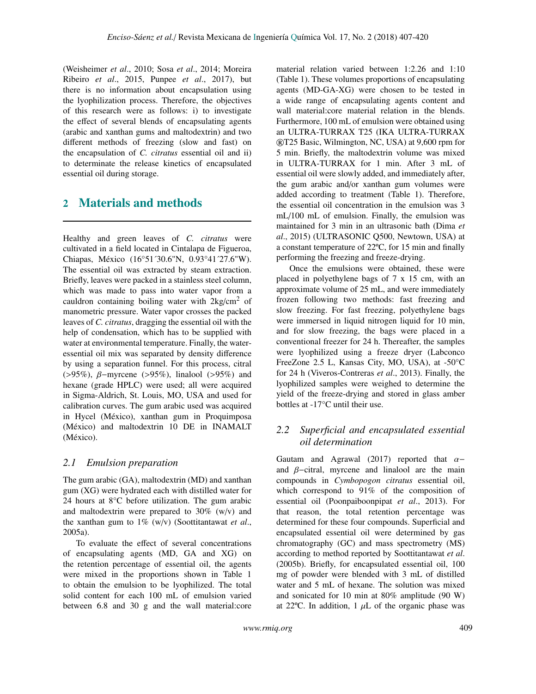(Weisheimer *et al*., 2010; Sosa *et al*., 2014; Moreira Ribeiro *et al*., 2015, Punpee *et al*., 2017), but there is no information about encapsulation using the lyophilization process. Therefore, the objectives of this research were as follows: i) to investigate the effect of several blends of encapsulating agents (arabic and xanthan gums and maltodextrin) and two different methods of freezing (slow and fast) on the encapsulation of *C. citratus* essential oil and ii) to determinate the release kinetics of encapsulated essential oil during storage.

# 2 Materials and methods

Healthy and green leaves of *C. citratus* were cultivated in a field located in Cintalapa de Figueroa, Chiapas, México (16°51´30.6"N, 0.93°41´27.6"W). The essential oil was extracted by steam extraction. Briefly, leaves were packed in a stainless steel column, which was made to pass into water vapor from a cauldron containing boiling water with  $2kg/cm^2$  of manometric pressure. Water vapor crosses the packed leaves of *C. citratus*, dragging the essential oil with the help of condensation, which has to be supplied with water at environmental temperature. Finally, the wateressential oil mix was separated by density difference by using a separation funnel. For this process, citral (>95%), β−myrcene (>95%), linalool (>95%) and hexane (grade HPLC) were used; all were acquired in Sigma-Aldrich, St. Louis, MO, USA and used for calibration curves. The gum arabic used was acquired in Hycel (México), xanthan gum in Proquimposa (México) and maltodextrin 10 DE in INAMALT (México).

### *2.1 Emulsion preparation*

The gum arabic (GA), maltodextrin (MD) and xanthan gum (XG) were hydrated each with distilled water for 24 hours at 8°C before utilization. The gum arabic and maltodextrin were prepared to 30% (w/v) and the xanthan gum to 1% (w/v) (Soottitantawat *et al*., 2005a).

To evaluate the effect of several concentrations of encapsulating agents (MD, GA and XG) on the retention percentage of essential oil, the agents were mixed in the proportions shown in Table 1 to obtain the emulsion to be lyophilized. The total solid content for each 100 mL of emulsion varied between 6.8 and 30 g and the wall material:core material relation varied between 1:2.26 and 1:10 (Table 1). These volumes proportions of encapsulating agents (MD-GA-XG) were chosen to be tested in a wide range of encapsulating agents content and wall material:core material relation in the blends. Furthermore, 100 mL of emulsion were obtained using an ULTRA-TURRAX T25 (IKA ULTRA-TURRAX ®T25 Basic, Wilmington, NC, USA) at 9,600 rpm for 5 min. Briefly, the maltodextrin volume was mixed in ULTRA-TURRAX for 1 min. After 3 mL of essential oil were slowly added, and immediately after, the gum arabic and/or xanthan gum volumes were added according to treatment (Table 1). Therefore, the essential oil concentration in the emulsion was 3 mL/100 mL of emulsion. Finally, the emulsion was maintained for 3 min in an ultrasonic bath (Dima *et al*., 2015) (ULTRASONIC Q500, Newtown, USA) at a constant temperature of 22ºC, for 15 min and finally performing the freezing and freeze-drying.

Once the emulsions were obtained, these were placed in polyethylene bags of 7 x 15 cm, with an approximate volume of 25 mL, and were immediately frozen following two methods: fast freezing and slow freezing. For fast freezing, polyethylene bags were immersed in liquid nitrogen liquid for 10 min, and for slow freezing, the bags were placed in a conventional freezer for 24 h. Thereafter, the samples were lyophilized using a freeze dryer (Labconco FreeZone 2.5 L, Kansas City, MO, USA), at -50°C for 24 h (Viveros-Contreras *et al*., 2013). Finally, the lyophilized samples were weighed to determine the yield of the freeze-drying and stored in glass amber bottles at -17°C until their use.

### *2.2 Superficial and encapsulated essential oil determination*

Gautam and Agrawal (2017) reported that  $\alpha$ and  $\beta$ -citral, myrcene and linalool are the main compounds in *Cymbopogon citratus* essential oil, which correspond to 91% of the composition of essential oil (Poonpaiboonpipat *et al*., 2013). For that reason, the total retention percentage was determined for these four compounds. Superficial and encapsulated essential oil were determined by gas chromatography (GC) and mass spectrometry (MS) according to method reported by Soottitantawat *et al*. (2005b). Briefly, for encapsulated essential oil, 100 mg of powder were blended with 3 mL of distilled water and 5 mL of hexane. The solution was mixed and sonicated for 10 min at 80% amplitude (90 W) at 22 $^{\circ}$ C. In addition, 1  $\mu$ L of the organic phase was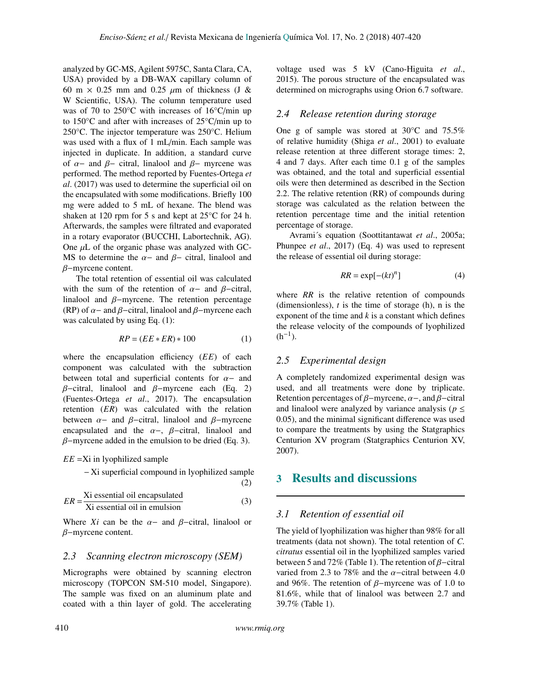analyzed by GC-MS, Agilent 5975C, Santa Clara, CA, USA) provided by a DB-WAX capillary column of 60 m  $\times$  0.25 mm and 0.25  $\mu$ m of thickness (J & W Scientific, USA). The column temperature used was of 70 to 250°C with increases of 16°C/min up to 150°C and after with increases of 25°C/min up to 250°C. The injector temperature was 250°C. Helium was used with a flux of 1 mL/min. Each sample was injected in duplicate. In addition, a standard curve of  $\alpha$ − and  $\beta$ − citral, linalool and  $\beta$ − myrcene was performed. The method reported by Fuentes-Ortega *et al*. (2017) was used to determine the superficial oil on the encapsulated with some modifications. Briefly 100 mg were added to 5 mL of hexane. The blend was shaken at 120 rpm for 5 s and kept at 25°C for 24 h. Afterwards, the samples were filtrated and evaporated in a rotary evaporator (BUCCHI, Labortechnik, AG). One  $\mu$ L of the organic phase was analyzed with GC-MS to determine the  $\alpha-$  and  $\beta-$  citral, linalool and β−myrcene content.

The total retention of essential oil was calculated with the sum of the retention of  $\alpha$ - and  $\beta$ -citral, linalool and β−myrcene. The retention percentage (RP) of  $\alpha$ – and  $\beta$ –citral, linalool and  $\beta$ –myrcene each was calculated by using Eq.  $(1)$ :

$$
RP = (EE * ER) * 100 \tag{1}
$$

where the encapsulation efficiency (*EE*) of each component was calculated with the subtraction between total and superficial contents for  $\alpha$ - and  $β$ -citral, linalool and  $β$ -myrcene each (Eq. 2) (Fuentes-Ortega *et al*., 2017). The encapsulation retention (*ER*) was calculated with the relation between  $\alpha$ - and  $\beta$ -citral, linalool and  $\beta$ -myrcene encapsulated and the  $\alpha$ -,  $\beta$ -citral, linalool and  $\beta$ -myrcene added in the emulsion to be dried (Eq. 3).

$$
EE = \text{Xi}
$$
 in lyophilized sample

− Xi superficial compound in lyophilized sample (2)

$$
ER = \frac{\text{Xi essential oil encapsulated}}{\text{Xi essential oil in emulsion}}\tag{3}
$$

Where *Xi* can be the  $\alpha$ - and  $\beta$ -citral, linalool or β−myrcene content.

#### *2.3 Scanning electron microscopy (SEM)*

Micrographs were obtained by scanning electron microscopy (TOPCON SM-510 model, Singapore). The sample was fixed on an aluminum plate and coated with a thin layer of gold. The accelerating voltage used was 5 kV (Cano-Higuita *et al*., 2015). The porous structure of the encapsulated was determined on micrographs using Orion 6.7 software.

### *2.4 Release retention during storage*

One g of sample was stored at 30°C and 75.5% of relative humidity (Shiga *et al*., 2001) to evaluate release retention at three different storage times: 2, 4 and 7 days. After each time 0.1 g of the samples was obtained, and the total and superficial essential oils were then determined as described in the Section 2.2. The relative retention (RR) of compounds during storage was calculated as the relation between the retention percentage time and the initial retention percentage of storage.

Avrami´s equation (Soottitantawat *et al*., 2005a; Phunpee *et al*., 2017) (Eq. 4) was used to represent the release of essential oil during storage:

$$
RR = \exp[-(kt)^n]
$$
 (4)

where *RR* is the relative retention of compounds (dimensionless), *t* is the time of storage (h), n is the exponent of the time and  $k$  is a constant which defines the release velocity of the compounds of lyophilized  $(h^{-1})$ .

### *2.5 Experimental design*

A completely randomized experimental design was used, and all treatments were done by triplicate. Retention percentages of  $\beta$ -myrcene,  $\alpha$ -, and  $\beta$ -citral and linalool were analyzed by variance analysis ( $p \leq$ <sup>0</sup>.05), and the minimal significant difference was used to compare the treatments by using the Statgraphics Centurion XV program (Statgraphics Centurion XV, 2007).

### 3 Results and discussions

#### *3.1 Retention of essential oil*

The yield of lyophilization was higher than 98% for all treatments (data not shown). The total retention of *C. citratus* essential oil in the lyophilized samples varied between 5 and 72% (Table 1). The retention of  $\beta$ –citral varied from 2.3 to 78% and the  $\alpha$ -citral between 4.0 and 96%. The retention of  $\beta$ -myrcene was of 1.0 to 81.6%, while that of linalool was between 2.7 and 39.7% (Table 1).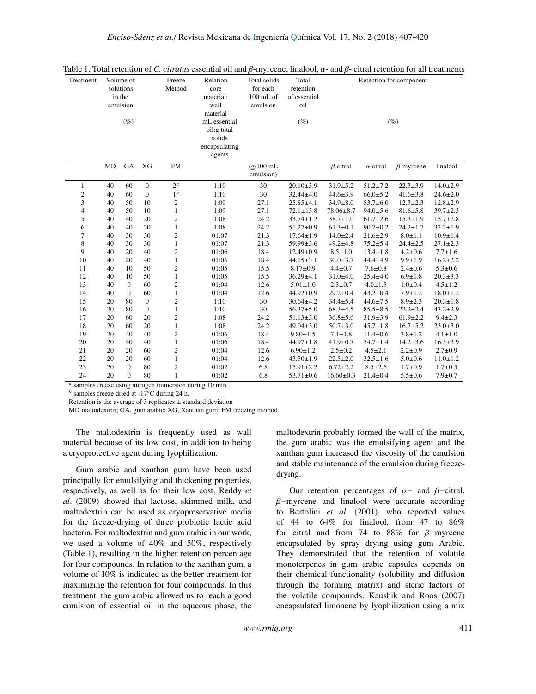| Treatment      | Volume of<br>solutions<br>in the<br>emulsion<br>$(\%)$ |              | Freeze<br>Method | Relation<br>core<br>material:<br>wall<br>material<br>mL essential<br>oil:g total<br>solids<br>encapsulating<br>agents | Total solids<br>for each<br>$100$ mL of<br>emulsion | Total<br>retention<br>of essential<br>oil<br>$(\%)$ |                 |                 | Retention for component<br>$(\%)$ |                  |                |
|----------------|--------------------------------------------------------|--------------|------------------|-----------------------------------------------------------------------------------------------------------------------|-----------------------------------------------------|-----------------------------------------------------|-----------------|-----------------|-----------------------------------|------------------|----------------|
|                | MD                                                     | GA           | XG               | <b>FM</b>                                                                                                             |                                                     | $(g/100$ mL<br>emulsion)                            |                 | $\beta$ -citral | $\alpha$ -citral                  | $\beta$ -myrcene | linalool       |
| 1              | 40                                                     | 60           | $\boldsymbol{0}$ | $2^{\alpha}$                                                                                                          | 1:10                                                | 30                                                  | $20.10 \pm 3.9$ | $31.9 \pm 5.2$  | $51.2 \pm 7.2$                    | $22.3 \pm 3.9$   | $14.0 \pm 2.9$ |
| $\overline{c}$ | 40                                                     | 60           | $\boldsymbol{0}$ | $1^b$                                                                                                                 | 1:10                                                | 30                                                  | $32.44 \pm 4.0$ | $44.6 \pm 3.9$  | $66.0 \pm 5.2$                    | $41.6 \pm 3.8$   | $24.6 \pm 2.0$ |
| 3              | 40                                                     | 50           | 10               | $\overline{c}$                                                                                                        | 1:09                                                | 27.1                                                | $25.85 \pm 4.1$ | $34.9 \pm 8.0$  | $53.7 \pm 6.0$                    | $12.3 \pm 2.3$   | $12.8 \pm 2.9$ |
| 4              | 40                                                     | 50           | 10               | $\mathbf{1}$                                                                                                          | 1:09                                                | 27.1                                                | $72.1 \pm 13.8$ | $78.06 \pm 8.7$ | $94.0 \pm 5.6$                    | $81.6 \pm 5.8$   | $39.7 \pm 2.3$ |
| 5              | 40                                                     | 40           | 20               | $\overline{c}$                                                                                                        | 1:08                                                | 24.2                                                | $33.74 \pm 1.2$ | $38.7 \pm 1.0$  | $61.7 \pm 2.6$                    | $15.3 \pm 1.9$   | $15.7 \pm 2.8$ |
| 6              | 40                                                     | 40           | 20               | $\mathbf{1}$                                                                                                          | 1:08                                                | 24.2                                                | $51.27 \pm 0.9$ | $61.3 \pm 0.1$  | $90.7 \pm 0.2$                    | $24.2 \pm 1.7$   | $32.2 \pm 1.9$ |
| $\overline{7}$ | 40                                                     | 30           | 30               | $\overline{c}$                                                                                                        | 01:07                                               | 21.3                                                | $17.64 \pm 1.9$ | $14.0 \pm 2.4$  | $21.6 \pm 2.9$                    | $8.0 \pm 1.1$    | $10.9 \pm 1.4$ |
| 8              | 40                                                     | 30           | 30               | $\mathbf{1}$                                                                                                          | 01:07                                               | 21.3                                                | 59.99±3.6       | $49.2 \pm 4.8$  | $75.2 \pm 5.4$                    | $24.4 \pm 2.5$   | $27.1 \pm 2.3$ |
| 9              | 40                                                     | 20           | 40               | $\overline{2}$                                                                                                        | 01:06                                               | 18.4                                                | $12.49 \pm 0.9$ | $8.5 \pm 1.0$   | $13.4 \pm 1.8$                    | $4.2 \pm 0.6$    | $7.7 \pm 1.6$  |
| 10             | 40                                                     | 20           | 40               | $\mathbf{1}$                                                                                                          | 01:06                                               | 18.4                                                | $44.15 \pm 3.1$ | $30.0 \pm 3.7$  | $44.4 \pm 4.9$                    | $9.9 \pm 1.9$    | $16.2 \pm 2.2$ |
| 11             | 40                                                     | 10           | 50               | $\overline{c}$                                                                                                        | 01:05                                               | 15.5                                                | $8.17 \pm 0.9$  | $4.4 \pm 0.7$   | $7.6 \pm 0.8$                     | $2.4 \pm 0.6$    | $5.3 \pm 0.6$  |
| 12             | 40                                                     | 10           | 50               | $\mathbf{1}$                                                                                                          | 01:05                                               | 15.5                                                | $36.29 \pm 4.1$ | $31.0 + 4.0$    | $25.4 \pm 4.0$                    | $6.9 \pm 1.8$    | $20.3 \pm 3.3$ |
| 13             | 40                                                     | $\mathbf{0}$ | 60               | $\overline{c}$                                                                                                        | 01:04                                               | 12.6                                                | $5.01 \pm 1.0$  | $2.3 \pm 0.7$   | $4.0 \pm 1.5$                     | $1.0 \pm 0.4$    | $4.5 \pm 1.2$  |
| 14             | 40                                                     | $\mathbf{0}$ | 60               | $\mathbf{1}$                                                                                                          | 01:04                                               | 12.6                                                | 44.92±0.9       | $29.2 \pm 0.4$  | $43.2 \pm 0.4$                    | $7.9 \pm 1.2$    | $18.0 \pm 1.2$ |
| 15             | 20                                                     | 80           | $\boldsymbol{0}$ | $\overline{c}$                                                                                                        | 1:10                                                | 30                                                  | $30.64 \pm 4.2$ | $34.4 \pm 5.4$  | $44.6 \pm 7.5$                    | $8.9 \pm 2.3$    | $20.3 \pm 1.8$ |
| 16             | 20                                                     | 80           | $\boldsymbol{0}$ | $\mathbf{1}$                                                                                                          | 1:10                                                | 30                                                  | $56.37 \pm 5.0$ | $68.3 \pm 4.5$  | $85.5 \pm 8.5$                    | $22.2 \pm 2.4$   | $43.2 \pm 2.9$ |
| 17             | 20                                                     | 60           | 20               | $\overline{c}$                                                                                                        | 1:08                                                | 24.2                                                | $51.13 \pm 3.0$ | $36.8 \pm 5.6$  | $31.9 \pm 3.9$                    | $61.9 \pm 2.2$   | $9.4 \pm 2.3$  |
| 18             | 20                                                     | 60           | 20               | $\mathbf{1}$                                                                                                          | 1:08                                                | 24.2                                                | $49.04 \pm 3.0$ | $50.7 \pm 3.0$  | $45.7 \pm 1.8$                    | $16.7 \pm 5.2$   | $23.0 \pm 3.0$ |
| 19             | 20                                                     | 40           | 40               | $\overline{c}$                                                                                                        | 01:06                                               | 18.4                                                | $9.80 \pm 1.5$  | $7.1 \pm 1.8$   | $11.4 \pm 0.6$                    | $3.8 \pm 1.2$    | $4.1 \pm 1.0$  |
| 20             | 20                                                     | 40           | 40               | $\mathbf{1}$                                                                                                          | 01:06                                               | 18.4                                                | $44.97 \pm 1.8$ | $41.9 \pm 0.7$  | $54.7 \pm 1.4$                    | $14.2 \pm 3.6$   | $16.5 \pm 3.9$ |
| 21             | 20                                                     | 20           | 60               | $\overline{c}$                                                                                                        | 01:04                                               | 12.6                                                | $6.90 \pm 1.2$  | $2.5 \pm 0.2$   | $4.5 \pm 2.1$                     | $2.2 \pm 0.9$    | $2.7 \pm 0.9$  |
| 22             | 20                                                     | 20           | 60               | $\mathbf{1}$                                                                                                          | 01:04                                               | 12.6                                                | $43.50 \pm 1.9$ | $22.5 \pm 2.0$  | $32.5 \pm 1.6$                    | $5.0 + 0.6$      | $11.0 \pm 1.2$ |
| 23             | 20                                                     | $\mathbf{0}$ | 80               | $\overline{2}$                                                                                                        | 01:02                                               | 6.8                                                 | $15.91 \pm 2.2$ | $6.72 \pm 2.2$  | $8.5 \pm 2.6$                     | $1.7 \pm 0.9$    | $1.7 \pm 0.5$  |
| 24             | 20                                                     | $\theta$     | 80               | $\mathbf{1}$                                                                                                          | 01:02                                               | 6.8                                                 | $53.71 \pm 0.6$ | $16.60 \pm 0.3$ | $21.4 \pm 0.4$                    | $5.5 \pm 0.6$    | $7.9 + 0.7$    |

Table 1. Total retention of *C. citratus* essential oil and β-myrcene, linalool, α- and β- citral retention for all treatments

samples freeze using nitrogen immersion during 10 min.

*<sup>b</sup>* samples freeze dried at -17°C during 24 h.

Retention is the average of 3 replicates  $\pm$  standard deviation

MD maltodextrin; GA, gum arabic; XG, Xanthan gum; FM freezing method

The maltodextrin is frequently used as wall material because of its low cost, in addition to being a cryoprotective agent during lyophilization.

Gum arabic and xanthan gum have been used principally for emulsifying and thickening properties, respectively, as well as for their low cost. Reddy *et al*. (2009) showed that lactose, skimmed milk, and maltodextrin can be used as cryopreservative media for the freeze-drying of three probiotic lactic acid bacteria. For maltodextrin and gum arabic in our work, we used a volume of 40% and 50%, respectively (Table 1), resulting in the higher retention percentage for four compounds. In relation to the xanthan gum, a volume of 10% is indicated as the better treatment for maximizing the retention for four compounds. In this treatment, the gum arabic allowed us to reach a good emulsion of essential oil in the aqueous phase, the

maltodextrin probably formed the wall of the matrix, the gum arabic was the emulsifying agent and the xanthan gum increased the viscosity of the emulsion and stable maintenance of the emulsion during freezedrying.

Our retention percentages of  $\alpha$ - and  $\beta$ -citral, β−myrcene and linalool were accurate according to Bertolini *et al*. (2001), who reported values of 44 to 64% for linalool, from 47 to 86% for citral and from 74 to 88% for  $\beta$ -myrcene encapsulated by spray drying using gum Arabic. They demonstrated that the retention of volatile monoterpenes in gum arabic capsules depends on their chemical functionality (solubility and diffusion through the forming matrix) and steric factors of the volatile compounds. Kaushik and Roos (2007) encapsulated limonene by lyophilization using a mix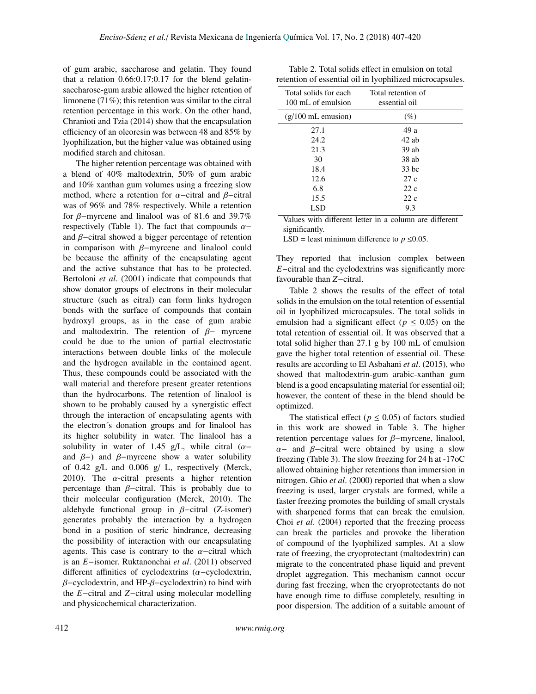of gum arabic, saccharose and gelatin. They found that a relation 0.66:0.17:0.17 for the blend gelatinsaccharose-gum arabic allowed the higher retention of limonene (71%); this retention was similar to the citral retention percentage in this work. On the other hand, Chranioti and Tzia (2014) show that the encapsulation efficiency of an oleoresin was between 48 and 85% by lyophilization, but the higher value was obtained using modified starch and chitosan.

The higher retention percentage was obtained with a blend of 40% maltodextrin, 50% of gum arabic and 10% xanthan gum volumes using a freezing slow method, where a retention for  $\alpha$ –citral and  $\beta$ –citral was of 96% and 78% respectively. While a retention for  $\beta$ -myrcene and linalool was of 81.6 and 39.7% respectively (Table 1). The fact that compounds  $\alpha$ − and  $\beta$ –citral showed a bigger percentage of retention in comparison with β−myrcene and linalool could be because the affinity of the encapsulating agent and the active substance that has to be protected. Bertoloni *et al*. (2001) indicate that compounds that show donator groups of electrons in their molecular structure (such as citral) can form links hydrogen bonds with the surface of compounds that contain hydroxyl groups, as in the case of gum arabic and maltodextrin. The retention of  $\beta$ − myrcene could be due to the union of partial electrostatic interactions between double links of the molecule and the hydrogen available in the contained agent. Thus, these compounds could be associated with the wall material and therefore present greater retentions than the hydrocarbons. The retention of linalool is shown to be probably caused by a synergistic effect through the interaction of encapsulating agents with the electron´s donation groups and for linalool has its higher solubility in water. The linalool has a solubility in water of 1.45 g/L, while citral  $(\alpha$ and  $\beta$ -) and  $\beta$ -myrcene show a water solubility of 0.42 g/L and 0.006 g/ L, respectively (Merck, 2010). The  $\alpha$ -citral presents a higher retention percentage than  $\beta$ -citral. This is probably due to their molecular configuration (Merck, 2010). The aldehyde functional group in  $\beta$ -citral (Z-isomer) generates probably the interaction by a hydrogen bond in a position of steric hindrance, decreasing the possibility of interaction with our encapsulating agents. This case is contrary to the  $\alpha$ -citral which is an *E*−isomer. Ruktanonchai *et al*. (2011) observed different affinities of cyclodextrins (α−cyclodextrin,  $\beta$ -cyclodextrin, and HP- $\beta$ -cyclodextrin) to bind with the *E*−citral and *Z*−citral using molecular modelling and physicochemical characterization.

| Table 2. Total solids effect in emulsion on total        |
|----------------------------------------------------------|
| retention of essential oil in lyophilized microcapsules. |

| Total solids for each<br>100 mL of emulsion | Total retention of<br>essential oil |  |
|---------------------------------------------|-------------------------------------|--|
| $(g/100 \text{ mL emission})$               | $(\%)$                              |  |
| 27.1                                        | 49 a                                |  |
| 24.2                                        | $42$ ab                             |  |
| 21.3                                        | $39$ ab                             |  |
| 30                                          | $38$ ab                             |  |
| 18.4                                        | $33$ bc                             |  |
| 12.6                                        | 27c                                 |  |
| 6.8                                         | 22c                                 |  |
| 15.5                                        | 22 c                                |  |
| LSD                                         | 9.3                                 |  |

Values with different letter in a column are different significantly.

LSD = least minimum difference to  $p \le 0.05$ .

They reported that inclusion complex between *E*−citral and the cyclodextrins was significantly more favourable than *Z*−citral.

Table 2 shows the results of the effect of total solids in the emulsion on the total retention of essential oil in lyophilized microcapsules. The total solids in emulsion had a significant effect ( $p \leq 0.05$ ) on the total retention of essential oil. It was observed that a total solid higher than 27.1 g by 100 mL of emulsion gave the higher total retention of essential oil. These results are according to El Asbahani *et al*. (2015), who showed that maltodextrin-gum arabic-xanthan gum blend is a good encapsulating material for essential oil; however, the content of these in the blend should be optimized.

The statistical effect ( $p \le 0.05$ ) of factors studied in this work are showed in Table 3. The higher retention percentage values for β−myrcene, linalool,  $\alpha$ - and  $\beta$ -citral were obtained by using a slow freezing (Table 3). The slow freezing for 24 h at -17oC allowed obtaining higher retentions than immersion in nitrogen. Ghio *et al*. (2000) reported that when a slow freezing is used, larger crystals are formed, while a faster freezing promotes the building of small crystals with sharpened forms that can break the emulsion. Choi *et al*. (2004) reported that the freezing process can break the particles and provoke the liberation of compound of the lyophilized samples. At a slow rate of freezing, the cryoprotectant (maltodextrin) can migrate to the concentrated phase liquid and prevent droplet aggregation. This mechanism cannot occur during fast freezing, when the cryoprotectants do not have enough time to diffuse completely, resulting in poor dispersion. The addition of a suitable amount of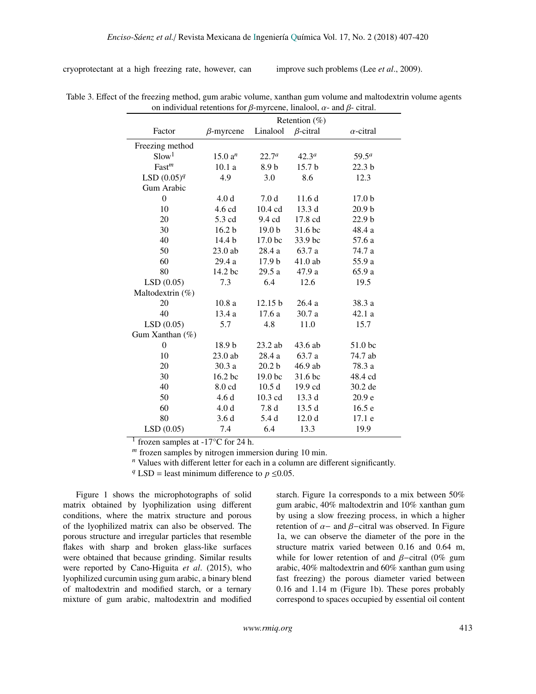cryoprotectant at a high freezing rate, however, can improve such problems (Lee *et al*., 2009).

| on marvia and recentions for $\rho$ infreenced manager and $\rho$ extraits<br>Retention $(\%)$ |                    |                      |                   |                   |  |  |  |
|------------------------------------------------------------------------------------------------|--------------------|----------------------|-------------------|-------------------|--|--|--|
|                                                                                                |                    |                      |                   |                   |  |  |  |
| Factor                                                                                         | $\beta$ -myrcene   | Linalool             | $\beta$ -citral   | $\alpha$ -citral  |  |  |  |
| Freezing method                                                                                |                    |                      |                   |                   |  |  |  |
| Slow <sup>1</sup>                                                                              | 15.0 $a^n$         | $22.7^a$<br>$42.3^a$ |                   | $59.5^a$          |  |  |  |
| Fast <sup>m</sup>                                                                              | 10.1a              | 8.9 <sub>b</sub>     | 15.7 b            | 22.3 <sub>b</sub> |  |  |  |
| LSD $(0.05)^q$                                                                                 | 4.9                | 3.0                  | 8.6               | 12.3              |  |  |  |
| Gum Arabic                                                                                     |                    |                      |                   |                   |  |  |  |
| $\overline{0}$                                                                                 | 4.0 <sub>d</sub>   | 7.0 <sub>d</sub>     | 11.6d             | 17.0 <sub>b</sub> |  |  |  |
| 10                                                                                             | 4.6 cd             | 10.4 cd              | 13.3d             | 20.9 <sub>b</sub> |  |  |  |
| 20                                                                                             | 5.3 cd             | 9.4 cd               | 17.8 cd           | 22.9 <sub>b</sub> |  |  |  |
| 30                                                                                             | 16.2 <sub>b</sub>  | 19.0 <sub>b</sub>    | 31.6 bc           | 48.4 a            |  |  |  |
| 40                                                                                             | 14.4 b             | 17.0 bc              | 33.9 bc           | 57.6 a            |  |  |  |
| 50                                                                                             | $23.0$ ab          | 28.4 a               | 63.7 a            | 74.7 a            |  |  |  |
| 60                                                                                             | 29.4 a             | 17.9 <sub>b</sub>    | $41.0$ ab         | 55.9 a            |  |  |  |
| 80                                                                                             | 14.2 bc            | 29.5 a               | 47.9 a            | 65.9 a            |  |  |  |
| LSD(0.05)                                                                                      | 7.3                | 6.4                  | 12.6              | 19.5              |  |  |  |
| Maltodextrin (%)                                                                               |                    |                      |                   |                   |  |  |  |
| 20                                                                                             | 10.8a              | 12.15 b              | 26.4a             | 38.3 a            |  |  |  |
| 40                                                                                             | 13.4 a             | 17.6 a               | 30.7 a            | 42.1 a            |  |  |  |
| LSD(0.05)                                                                                      | 5.7                | 4.8                  | 11.0              | 15.7              |  |  |  |
| Gum Xanthan (%)                                                                                |                    |                      |                   |                   |  |  |  |
| $\theta$                                                                                       | 18.9 <sub>b</sub>  | $23.2$ ab            | 43.6 ab           | 51.0 bc           |  |  |  |
| 10                                                                                             | 23.0 ab            | 28.4 a               | 63.7 a            | 74.7 ab           |  |  |  |
| 20                                                                                             | 30.3 a             | 20.2 <sub>b</sub>    | 46.9 ab           | 78.3 a            |  |  |  |
| 30                                                                                             | 16.2 <sub>bc</sub> | 19.0 <sub>bc</sub>   | 31.6 bc           | 48.4 cd           |  |  |  |
| 40                                                                                             | 8.0 cd             | 10.5d                | 19.9 cd           | 30.2 de           |  |  |  |
| 50                                                                                             | 4.6d               | 10.3 cd              | 13.3 d            | 20.9 e            |  |  |  |
| 60                                                                                             | 4.0 <sub>d</sub>   | 7.8 <sub>d</sub>     | 13.5d             | 16.5e             |  |  |  |
| 80                                                                                             | 3.6d               | 5.4 d                | 12.0 <sub>d</sub> | 17.1 e            |  |  |  |
| LSD(0.05)                                                                                      | 7.4                | 6.4                  | 13.3              | 19.9              |  |  |  |

Table 3. Effect of the freezing method, gum arabic volume, xanthan gum volume and maltodextrin volume agents on individual retentions for  $\beta$ -myrcene, linalool,  $\alpha$ - and  $\beta$ - citral.

<sup>1</sup> frozen samples at  $-17^{\circ}$ C for 24 h.

*<sup>m</sup>* frozen samples by nitrogen immersion during 10 min.

*<sup>n</sup>* Values with different letter for each in a column are different significantly.

*q* LSD = least minimum difference to  $p \le 0.05$ .

Figure 1 shows the microphotographs of solid matrix obtained by lyophilization using different conditions, where the matrix structure and porous of the lyophilized matrix can also be observed. The porous structure and irregular particles that resemble flakes with sharp and broken glass-like surfaces were obtained that because grinding. Similar results were reported by Cano-Higuita *et al*. (2015), who lyophilized curcumin using gum arabic, a binary blend of maltodextrin and modified starch, or a ternary mixture of gum arabic, maltodextrin and modified

starch. Figure 1a corresponds to a mix between 50% gum arabic, 40% maltodextrin and 10% xanthan gum by using a slow freezing process, in which a higher retention of  $\alpha$  – and  $\beta$ –citral was observed. In Figure 1a, we can observe the diameter of the pore in the structure matrix varied between 0.16 and 0.64 m, while for lower retention of and  $\beta$ -citral (0% gum arabic, 40% maltodextrin and 60% xanthan gum using fast freezing) the porous diameter varied between 0.16 and 1.14 m (Figure 1b). These pores probably correspond to spaces occupied by essential oil content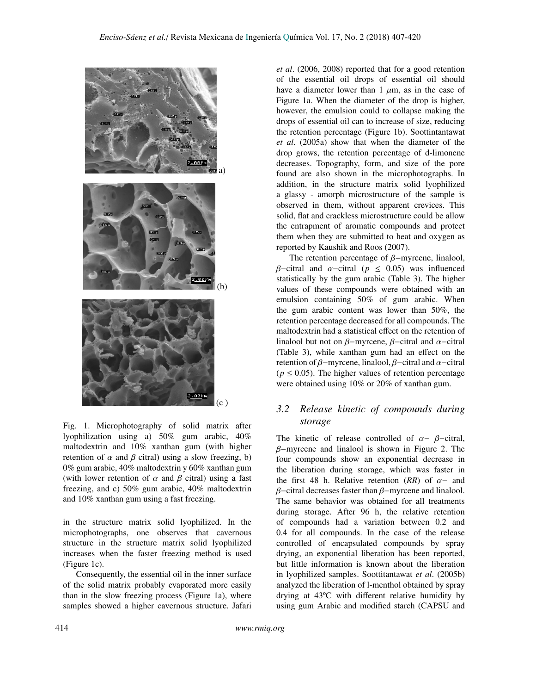

Fig. 1. Microphotography of solid matrix after lyophilization using a) 50% gum arabic, 40% maltodextrin and 10% xanthan gum (with higher retention of  $\alpha$  and  $\beta$  citral) using a slow freezing, b) 0% gum arabic, 40% maltodextrin y 60% xanthan gum (with lower retention of  $\alpha$  and  $\beta$  citral) using a fast freezing, and c) 50% gum arabic, 40% maltodextrin and 10% xanthan gum using a fast freezing.

in the structure matrix solid lyophilized. In the microphotographs, one observes that cavernous structure in the structure matrix solid lyophilized increases when the faster freezing method is used (Figure 1c).

Consequently, the essential oil in the inner surface of the solid matrix probably evaporated more easily than in the slow freezing process (Figure 1a), where samples showed a higher cavernous structure. Jafari *et al*. (2006, 2008) reported that for a good retention of the essential oil drops of essential oil should have a diameter lower than 1  $\mu$ m, as in the case of Figure 1a. When the diameter of the drop is higher, however, the emulsion could to collapse making the drops of essential oil can to increase of size, reducing the retention percentage (Figure 1b). Soottintantawat *et al*. (2005a) show that when the diameter of the drop grows, the retention percentage of d-limonene decreases. Topography, form, and size of the pore found are also shown in the microphotographs. In addition, in the structure matrix solid lyophilized a glassy - amorph microstructure of the sample is observed in them, without apparent crevices. This solid, flat and crackless microstructure could be allow the entrapment of aromatic compounds and protect them when they are submitted to heat and oxygen as reported by Kaushik and Roos (2007).

The retention percentage of β−myrcene, linalool, β−citral and α−citral (*<sup>p</sup>* <sup>≤</sup> <sup>0</sup>.05) was influenced statistically by the gum arabic (Table 3). The higher values of these compounds were obtained with an emulsion containing 50% of gum arabic. When the gum arabic content was lower than 50%, the retention percentage decreased for all compounds. The maltodextrin had a statistical effect on the retention of linalool but not on  $\beta$ -myrcene,  $\beta$ -citral and  $\alpha$ -citral (Table 3), while xanthan gum had an effect on the retention of  $\beta$ −myrcene, linalool,  $\beta$ −citral and  $\alpha$ −citral  $(p \le 0.05)$ . The higher values of retention percentage were obtained using 10% or 20% of xanthan gum.

### <span id="page-7-0"></span>*3.2 Release kinetic of compounds during storage*

The kinetic of release controlled of  $\alpha - \beta$ -citral, β−myrcene and linalool is shown in Figure 2. The four compounds show an exponential decrease in the liberation during storage, which was faster in the first 48 h. Relative retention  $(RR)$  of  $\alpha$ - and β−citral decreases faster than β−myrcene and linalool. The same behavior was obtained for all treatments during storage. After 96 h, the relative retention of compounds had a variation between 0.2 and 0.4 for all compounds. In the case of the release controlled of encapsulated compounds by spray drying, an exponential liberation has been reported, but little information is known about the liberation in lyophilized samples. Soottitantawat *et al*. (2005b) analyzed the liberation of l-menthol obtained by spray drying at 43ºC with different relative humidity by using gum Arabic and modified starch (CAPSU and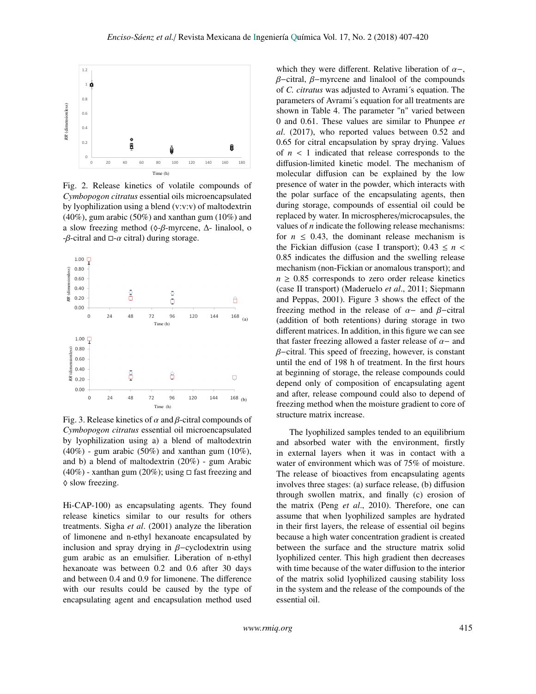

Fig. 2. Release kinetics of volatile compounds of *Cymbopogon citratus* essential oils microencapsulated by lyophilization using a blend (v:v:v) of maltodextrin (40%), gum arabic (50%) and xanthan gum (10%) and a slow freezing method ( $\Diamond$ -β-myrcene,  $\Delta$ - linalool, o  $-\beta$ -citral and  $\Box$ -α citral) during storage.



Fig. 3. Release kinetics of  $\alpha$  and  $\beta$ -citral compounds of *Cymbopogon citratus* essential oil microencapsulated by lyophilization using a) a blend of maltodextrin  $(40\%)$  - gum arabic  $(50\%)$  and xanthan gum  $(10\%)$ , and b) a blend of maltodextrin (20%) - gum Arabic  $(40\%)$  - xanthan gum  $(20\%)$ ; using  $\Box$  fast freezing and  $\Diamond$  slow freezing.

Hi-CAP-100) as encapsulating agents. They found release kinetics similar to our results for others treatments. Sigha *et al*. (2001) analyze the liberation of limonene and n-ethyl hexanoate encapsulated by inclusion and spray drying in β−cyclodextrin using gum arabic as an emulsifier. Liberation of n-ethyl hexanoate was between 0.2 and 0.6 after 30 days and between 0.4 and 0.9 for limonene. The difference with our results could be caused by the type of encapsulating agent and encapsulation method used

which they were different. Relative liberation of  $\alpha$ -, β−citral, β−myrcene and linalool of the compounds of *C. citratus* was adjusted to Avrami´s equation. The parameters of Avrami´s equation for all treatments are shown in Table 4. The parameter "n" varied between 0 and 0.61. These values are similar to Phunpee *et al*. (2017), who reported values between 0.52 and 0.65 for citral encapsulation by spray drying. Values of  $n < 1$  indicated that release corresponds to the diffusion-limited kinetic model. The mechanism of molecular diffusion can be explained by the low presence of water in the powder, which interacts with the polar surface of the encapsulating agents, then during storage, compounds of essential oil could be replaced by water. In microspheres/microcapsules, the values of *n* indicate the following release mechanisms: for  $n \leq 0.43$ , the dominant release mechanism is the Fickian diffusion (case I transport);  $0.43 \le n <$ <sup>0</sup>.85 indicates the diffusion and the swelling release mechanism (non-Fickian or anomalous transport); and  $n \geq 0.85$  corresponds to zero order release kinetics (case II transport) (Maderuelo *et al*., 2011; Siepmann and Peppas, 2001). Figure 3 shows the effect of the freezing method in the release of  $\alpha$ - and  $\beta$ -citral (addition of both retentions) during storage in two different matrices. In addition, in this figure we can see that faster freezing allowed a faster release of  $\alpha$  – and  $\beta$ –citral. This speed of freezing, however, is constant until the end of 198 h of treatment. In the first hours at beginning of storage, the release compounds could depend only of composition of encapsulating agent and after, release compound could also to depend of freezing method when the moisture gradient to core of structure matrix increase.

The lyophilized samples tended to an equilibrium and absorbed water with the environment, firstly in external layers when it was in contact with a water of environment which was of 75% of moisture. The release of bioactives from encapsulating agents involves three stages: (a) surface release, (b) diffusion through swollen matrix, and finally (c) erosion of the matrix (Peng *et al*., 2010). Therefore, one can assume that when lyophilized samples are hydrated in their first layers, the release of essential oil begins because a high water concentration gradient is created between the surface and the structure matrix solid lyophilized center. This high gradient then decreases with time because of the water diffusion to the interior of the matrix solid lyophilized causing stability loss in the system and the release of the compounds of the essential oil.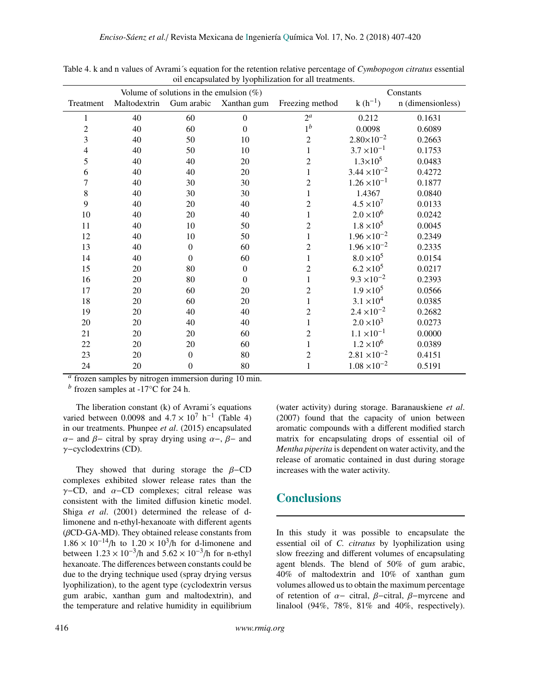| Volume of solutions in the emulsion $(\%)$ |              |                  |                  |                 |                       | Constants         |  |  |
|--------------------------------------------|--------------|------------------|------------------|-----------------|-----------------------|-------------------|--|--|
| Treatment                                  | Maltodextrin | Gum arabic       | Xanthan gum      | Freezing method | $k(h^{-1})$           | n (dimensionless) |  |  |
| 1                                          | 40           | 60               | $\boldsymbol{0}$ | $2^{\alpha}$    | 0.212                 | 0.1631            |  |  |
| $\overline{c}$                             | 40           | 60               | $\boldsymbol{0}$ | $1^b$           | 0.0098                | 0.6089            |  |  |
| 3                                          | 40           | 50               | 10               | $\overline{c}$  | $2.80 \times 10^{-2}$ | 0.2663            |  |  |
| 4                                          | 40           | 50               | 10               |                 | $3.7 \times 10^{-1}$  | 0.1753            |  |  |
| 5                                          | 40           | 40               | 20               | $\overline{2}$  | $1.3 \times 10^5$     | 0.0483            |  |  |
| 6                                          | 40           | 40               | 20               |                 | $3.44 \times 10^{-2}$ | 0.4272            |  |  |
| $\overline{7}$                             | 40           | 30               | 30               | $\overline{c}$  | $1.26 \times 10^{-1}$ | 0.1877            |  |  |
| $\,$ 8 $\,$                                | 40           | 30               | 30               |                 | 1.4367                | 0.0840            |  |  |
| 9                                          | 40           | 20               | 40               | $\overline{c}$  | $4.5 \times 10^{7}$   | 0.0133            |  |  |
| $10\,$                                     | 40           | 20               | 40               | 1               | $2.0 \times 10^{6}$   | 0.0242            |  |  |
| 11                                         | 40           | $10\,$           | 50               | $\overline{2}$  | $1.8 \times 10^5$     | 0.0045            |  |  |
| 12                                         | 40           | $10\,$           | 50               |                 | $1.96 \times 10^{-2}$ | 0.2349            |  |  |
| 13                                         | 40           | $\boldsymbol{0}$ | 60               | $\overline{c}$  | $1.96 \times 10^{-2}$ | 0.2335            |  |  |
| 14                                         | 40           | $\boldsymbol{0}$ | 60               |                 | $8.0 \times 10^5$     | 0.0154            |  |  |
| 15                                         | 20           | 80               | $\boldsymbol{0}$ | $\overline{c}$  | $6.2 \times 10^{5}$   | 0.0217            |  |  |
| 16                                         | 20           | 80               | $\mathbf{0}$     |                 | $9.3 \times 10^{-2}$  | 0.2393            |  |  |
| 17                                         | 20           | 60               | 20               | $\overline{c}$  | $1.9 \times 10^5$     | 0.0566            |  |  |
| 18                                         | 20           | 60               | 20               | 1               | $3.1 \times 10^{4}$   | 0.0385            |  |  |
| 19                                         | 20           | 40               | 40               | $\overline{c}$  | $2.4 \times 10^{-2}$  | 0.2682            |  |  |
| 20                                         | 20           | 40               | 40               |                 | $2.0 \times 10^3$     | 0.0273            |  |  |
| 21                                         | 20           | 20               | 60               | $\overline{c}$  | $1.1 \times 10^{-1}$  | 0.0000            |  |  |
| 22                                         | 20           | 20               | 60               | 1               | $1.2 \times 10^{6}$   | 0.0389            |  |  |
| 23                                         | 20           | $\boldsymbol{0}$ | 80               | 2               | $2.81 \times 10^{-2}$ | 0.4151            |  |  |
| 24                                         | 20           | $\theta$         | 80               |                 | $1.08 \times 10^{-2}$ | 0.5191            |  |  |

Table 4. k and n values of Avrami´s equation for the retention relative percentage of *Cymbopogon citratus* essential oil encapsulated by lyophilization for all treatments.

*a* frozen samples by nitrogen immersion during 10 min.

 $<sup>b</sup>$  frozen samples at -17 $\rm ^{\circ}C$  for 24 h.</sup>

The liberation constant (k) of Avrami´s equations varied between 0.0098 and  $4.7 \times 10^7$  h<sup>-1</sup> (Table 4)<br>in our treatments, Phunnee *et al.* (2015) encapsulated in our treatments. Phunpee *et al*. (2015) encapsulated  $\alpha$ − and  $\beta$ − citral by spray drying using  $\alpha$ −,  $\beta$ − and γ−cyclodextrins (CD).

They showed that during storage the  $β$ –CD complexes exhibited slower release rates than the  $\gamma$ −CD, and  $\alpha$ −CD complexes; citral release was consistent with the limited diffusion kinetic model. Shiga *et al*. (2001) determined the release of dlimonene and n-ethyl-hexanoate with different agents  $(\beta$ CD-GA-MD). They obtained release constants from  $1.86 \times 10^{-14}$ /h to  $1.20 \times 10^{3}$ /h for d-limonene and<br>hetween  $1.23 \times 10^{-3}$ /h and  $5.62 \times 10^{-3}$ /h for n-ethyl between  $1.23 \times 10^{-3}$ /h and  $5.62 \times 10^{-3}$ /h for n-ethyl<br>hexanoate. The differences between constants could be hexanoate. The differences between constants could be due to the drying technique used (spray drying versus lyophilization), to the agent type (cyclodextrin versus gum arabic, xanthan gum and maltodextrin), and the temperature and relative humidity in equilibrium (water activity) during storage. Baranauskiene *et al*. (2007) found that the capacity of union between aromatic compounds with a different modified starch matrix for encapsulating drops of essential oil of *Mentha piperita* is dependent on water activity, and the release of aromatic contained in dust during storage increases with the water activity.

### **Conclusions**

In this study it was possible to encapsulate the essential oil of *C. citratus* by lyophilization using slow freezing and different volumes of encapsulating agent blends. The blend of 50% of gum arabic, 40% of maltodextrin and 10% of xanthan gum volumes allowed us to obtain the maximum percentage of retention of  $\alpha$ - citral,  $\beta$ -citral,  $\beta$ -myrcene and linalool (94%, 78%, 81% and 40%, respectively).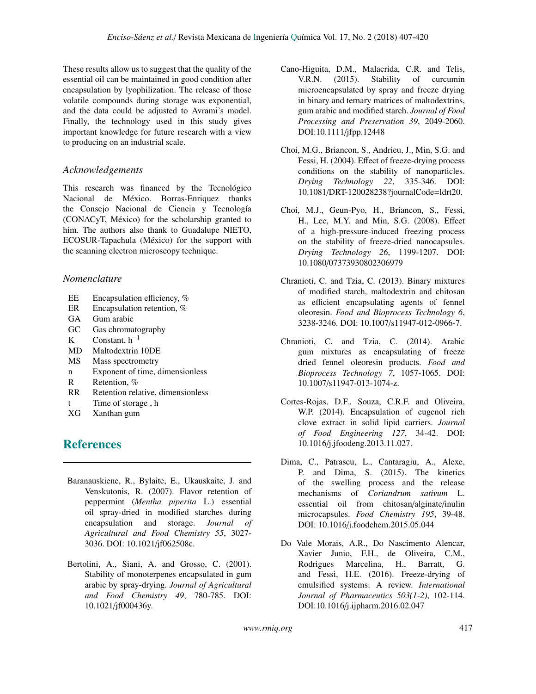These results allow us to suggest that the quality of the essential oil can be maintained in good condition after encapsulation by lyophilization. The release of those volatile compounds during storage was exponential, and the data could be adjusted to Avrami's model. Finally, the technology used in this study gives important knowledge for future research with a view to producing on an industrial scale.

### *Acknowledgements*

This research was financed by the Tecnológico Nacional de México. Borras-Enriquez thanks the Consejo Nacional de Ciencia y Tecnología (CONACyT, México) for the scholarship granted to him. The authors also thank to Guadalupe NIETO, ECOSUR-Tapachula (México) for the support with the scanning electron microscopy technique.

### *Nomenclature*

- EE Encapsulation efficiency, %
- ER Encapsulation retention, %
- GA Gum arabic
- GC Gas chromatography
- K Constant,  $h^{-1}$
- MD Maltodextrin 10DE
- MS Mass spectrometry
- n Exponent of time, dimensionless
- R Retention, %
- RR Retention relative, dimensionless
- t Time of storage , h
- XG Xanthan gum

# **References**

- Baranauskiene, R., Bylaite, E., Ukauskaite, J. and Venskutonis, R. (2007). Flavor retention of peppermint (*Mentha piperita* L.) essential oil spray-dried in modified starches during encapsulation and storage. *Journal of Agricultural and Food Chemistry 55*, 3027- 3036. DOI: 10.1021/jf062508c.
- Bertolini, A., Siani, A. and Grosso, C. (2001). Stability of monoterpenes encapsulated in gum arabic by spray-drying. *Journal of Agricultural and Food Chemistry 49*, 780-785. DOI: 10.1021/jf000436y.
- Cano-Higuita, D.M., Malacrida, C.R. and Telis, V.R.N. (2015). Stability of curcumin microencapsulated by spray and freeze drying in binary and ternary matrices of maltodextrins, gum arabic and modified starch. *Journal of Food Processing and Preservation 39*, 2049-2060. DOI:10.1111/jfpp.12448
- Choi, M.G., Briancon, S., Andrieu, J., Min, S.G. and Fessi, H. (2004). Effect of freeze-drying process conditions on the stability of nanoparticles. *Drying Technology 22*, 335-346. DOI: 10.1081/DRT-120028238?journalCode=ldrt20.
- Choi, M.J., Geun-Pyo, H., Briancon, S., Fessi, H., Lee, M.Y. and Min, S.G. (2008). Effect of a high-pressure-induced freezing process on the stability of freeze-dried nanocapsules. *Drying Technology 26*, 1199-1207. DOI: 10.1080/07373930802306979
- Chranioti, C. and Tzia, C. (2013). Binary mixtures of modified starch, maltodextrin and chitosan as efficient encapsulating agents of fennel oleoresin. *Food and Bioprocess Technology 6*, 3238-3246. DOI: 10.1007/s11947-012-0966-7.
- Chranioti, C. and Tzia, C. (2014). Arabic gum mixtures as encapsulating of freeze dried fennel oleoresin products. *Food and Bioprocess Technology 7*, 1057-1065. DOI: 10.1007/s11947-013-1074-z.
- Cortes-Rojas, D.F., Souza, C.R.F. and Oliveira, W.P. (2014). Encapsulation of eugenol rich clove extract in solid lipid carriers. *Journal of Food Engineering 127*, 34-42. DOI: 10.1016/j.jfoodeng.2013.11.027.
- Dima, C., Patrascu, L., Cantaragiu, A., Alexe, P. and Dima, S. (2015). The kinetics of the swelling process and the release mechanisms of *Coriandrum sativum* L. essential oil from chitosan/alginate/inulin microcapsules. *Food Chemistry 195*, 39-48. DOI: 10.1016/j.foodchem.2015.05.044
- Do Vale Morais, A.R., Do Nascimento Alencar, Xavier Junio, F.H., de Oliveira, C.M., Rodrigues Marcelina, H., Barratt, G. and Fessi, H.E. (2016). Freeze-drying of emulsified systems: A review. *International Journal of Pharmaceutics 503(1-2)*, 102-114. DOI:10.1016/j.ijpharm.2016.02.047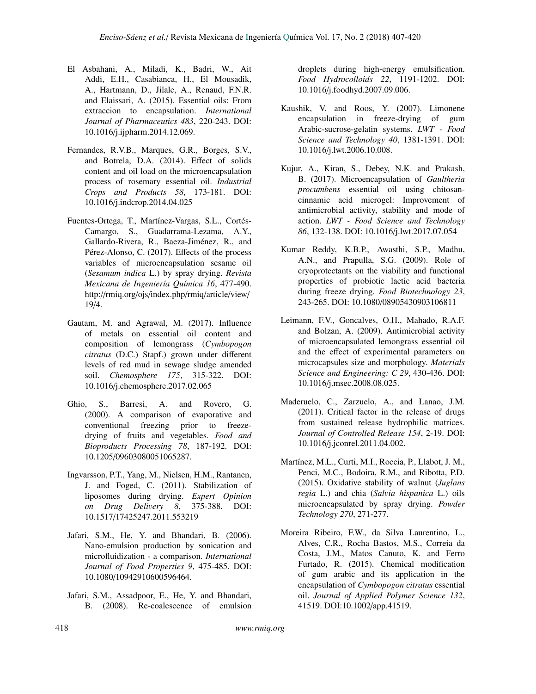- El Asbahani, A., Miladi, K., Badri, W., Ait Addi, E.H., Casabianca, H., El Mousadik, A., Hartmann, D., Jilale, A., Renaud, F.N.R. and Elaissari, A. (2015). Essential oils: From extraccion to encapsulation. *International Journal of Pharmaceutics 483*, 220-243. DOI: 10.1016/j.ijpharm.2014.12.069.
- Fernandes, R.V.B., Marques, G.R., Borges, S.V., and Botrela, D.A. (2014). Effect of solids content and oil load on the microencapsulation process of rosemary essential oil. *Industrial Crops and Products 58*, 173-181. DOI: 10.1016/j.indcrop.2014.04.025
- Fuentes-Ortega, T., Martínez-Vargas, S.L., Cortés-Camargo, S., Guadarrama-Lezama, A.Y., Gallardo-Rivera, R., Baeza-Jiménez, R., and Pérez-Alonso, C. (2017). Effects of the process variables of microencapsulation sesame oil (*Sesamum indica* L.) by spray drying. *Revista Mexicana de Ingeniería Química 16*, 477-490. http://rmiq.org/ojs/index.php/rmiq/article/view/ 19/4.
- Gautam, M. and Agrawal, M. (2017). Influence of metals on essential oil content and composition of lemongrass (*Cymbopogon citratus* (D.C.) Stapf.) grown under different levels of red mud in sewage sludge amended soil. *Chemosphere 175*, 315-322. DOI: 10.1016/j.chemosphere.2017.02.065
- Ghio, S., Barresi, A. and Rovero, G. (2000). A comparison of evaporative and conventional freezing prior to freezedrying of fruits and vegetables. *Food and Bioproducts Processing 78*, 187-192. DOI: 10.1205/09603080051065287.
- Ingvarsson, P.T., Yang, M., Nielsen, H.M., Rantanen, J. and Foged, C. (2011). Stabilization of liposomes during drying. *Expert Opinion on Drug Delivery 8*, 375-388. DOI: 10.1517/17425247.2011.553219
- Jafari, S.M., He, Y. and Bhandari, B. (2006). Nano-emulsion production by sonication and microfluidization - a comparison. *International Journal of Food Properties 9*, 475-485. DOI: 10.1080/10942910600596464.
- Jafari, S.M., Assadpoor, E., He, Y. and Bhandari, B. (2008). Re-coalescence of emulsion

droplets during high-energy emulsification. *Food Hydrocolloids 22*, 1191-1202. DOI: 10.1016/j.foodhyd.2007.09.006.

- Kaushik, V. and Roos, Y. (2007). Limonene encapsulation in freeze-drying of gum Arabic-sucrose-gelatin systems. *LWT - Food Science and Technology 40*, 1381-1391. DOI: 10.1016/j.lwt.2006.10.008.
- Kujur, A., Kiran, S., Debey, N.K. and Prakash, B. (2017). Microencapsulation of *Gaultheria procumbens* essential oil using chitosancinnamic acid microgel: Improvement of antimicrobial activity, stability and mode of action. *LWT - Food Science and Technology 86*, 132-138. DOI: 10.1016/j.lwt.2017.07.054
- Kumar Reddy, K.B.P., Awasthi, S.P., Madhu, A.N., and Prapulla, S.G. (2009). Role of cryoprotectants on the viability and functional properties of probiotic lactic acid bacteria during freeze drying. *Food Biotechnology 23*, 243-265. DOI: 10.1080/08905430903106811
- Leimann, F.V., Goncalves, O.H., Mahado, R.A.F. and Bolzan, A. (2009). Antimicrobial activity of microencapsulated lemongrass essential oil and the effect of experimental parameters on microcapsules size and morphology. *Materials Science and Engineering: C 29*, 430-436. DOI: 10.1016/j.msec.2008.08.025.
- Maderuelo, C., Zarzuelo, A., and Lanao, J.M. (2011). Critical factor in the release of drugs from sustained release hydrophilic matrices. *Journal of Controlled Release 154*, 2-19. DOI: 10.1016/j.jconrel.2011.04.002.
- Martínez, M.L., Curti, M.I., Roccia, P., Llabot, J. M., Penci, M.C., Bodoira, R.M., and Ribotta, P.D. (2015). Oxidative stability of walnut (*Juglans regia* L.) and chia (*Salvia hispanica* L.) oils microencapsulated by spray drying. *Powder Technology 270*, 271-277.
- Moreira Ribeiro, F.W., da Silva Laurentino, L., Alves, C.R., Rocha Bastos, M.S., Correia da Costa, J.M., Matos Canuto, K. and Ferro Furtado, R. (2015). Chemical modification of gum arabic and its application in the encapsulation of *Cymbopogon citratus* essential oil. *Journal of Applied Polymer Science 132*, 41519. DOI:10.1002/app.41519.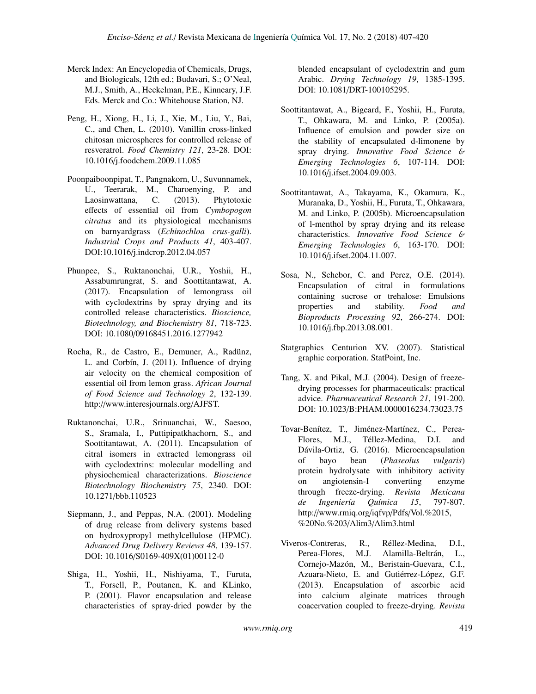- Merck Index: An Encyclopedia of Chemicals, Drugs, and Biologicals, 12th ed.; Budavari, S.; O'Neal, M.J., Smith, A., Heckelman, P.E., Kinneary, J.F. Eds. Merck and Co.: Whitehouse Station, NJ.
- Peng, H., Xiong, H., Li, J., Xie, M., Liu, Y., Bai, C., and Chen, L. (2010). Vanillin cross-linked chitosan microspheres for controlled release of resveratrol. *Food Chemistry 121*, 23-28. DOI: 10.1016/j.foodchem.2009.11.085
- Poonpaiboonpipat, T., Pangnakorn, U., Suvunnamek, U., Teerarak, M., Charoenying, P. and Laosinwattana, C. (2013). Phytotoxic effects of essential oil from *Cymbopogon citratus* and its physiological mechanisms on barnyardgrass (*Echinochloa crus-galli*). *Industrial Crops and Products 41*, 403-407. DOI:10.1016/j.indcrop.2012.04.057
- Phunpee, S., Ruktanonchai, U.R., Yoshii, H., Assabumrungrat, S. and Soottitantawat, A. (2017). Encapsulation of lemongrass oil with cyclodextrins by spray drying and its controlled release characteristics. *Bioscience, Biotechnology, and Biochemistry 81*, 718-723. DOI: 10.1080/09168451.2016.1277942
- Rocha, R., de Castro, E., Demuner, A., Radünz, L. and Corbín, J. (2011). Influence of drying air velocity on the chemical composition of essential oil from lemon grass. *African Journal of Food Science and Technology 2*, 132-139. http://www.interesjournals.org/AJFST.
- Ruktanonchai, U.R., Srinuanchai, W., Saesoo, S., Sramala, I., Puttipipatkhachorn, S., and Soottitantawat, A. (2011). Encapsulation of citral isomers in extracted lemongrass oil with cyclodextrins: molecular modelling and physiochemical characterizations. *Bioscience Biotechnology Biochemistry 75*, 2340. DOI: 10.1271/bbb.110523
- Siepmann, J., and Peppas, N.A. (2001). Modeling of drug release from delivery systems based on hydroxypropyl methylcellulose (HPMC). *Advanced Drug Delivery Reviews 48*, 139-157. DOI: 10.1016/S0169-409X(01)00112-0
- Shiga, H., Yoshii, H., Nishiyama, T., Furuta, T., Forsell, P., Poutanen, K. and KLinko, P. (2001). Flavor encapsulation and release characteristics of spray-dried powder by the

blended encapsulant of cyclodextrin and gum Arabic. *Drying Technology 19*, 1385-1395. DOI: 10.1081/DRT-100105295.

- Soottitantawat, A., Bigeard, F., Yoshii, H., Furuta, T., Ohkawara, M. and Linko, P. (2005a). Influence of emulsion and powder size on the stability of encapsulated d-limonene by spray drying. *Innovative Food Science* & *Emerging Technologies 6*, 107-114. DOI: 10.1016/j.ifset.2004.09.003.
- Soottitantawat, A., Takayama, K., Okamura, K., Muranaka, D., Yoshii, H., Furuta, T., Ohkawara, M. and Linko, P. (2005b). Microencapsulation of l-menthol by spray drying and its release characteristics. *Innovative Food Science* & *Emerging Technologies 6*, 163-170. DOI: 10.1016/j.ifset.2004.11.007.
- Sosa, N., Schebor, C. and Perez, O.E. (2014). Encapsulation of citral in formulations containing sucrose or trehalose: Emulsions properties and stability. *Food and Bioproducts Processing 92*, 266-274. DOI: 10.1016/j.fbp.2013.08.001.
- Statgraphics Centurion XV. (2007). Statistical graphic corporation. StatPoint, Inc.
- Tang, X. and Pikal, M.J. (2004). Design of freezedrying processes for pharmaceuticals: practical advice. *Pharmaceutical Research 21*, 191-200. DOI: 10.1023/B:PHAM.0000016234.73023.75
- Tovar-Benítez, T., Jiménez-Martínez, C., Perea-Flores, M.J., Téllez-Medina, D.I. and Dávila-Ortiz, G. (2016). Microencapsulation of bayo bean (*Phaseolus vulgaris*) protein hydrolysate with inhibitory activity on angiotensin-I converting enzyme through freeze-drying. *Revista Mexicana de Ingeniería Química 15*, 797-807. http://www.rmiq.org/iqfvp/Pdfs/Vol.%2015, %20No.%203/Alim3/Alim3.html
- Viveros-Contreras, R., Réllez-Medina, D.I., Perea-Flores, M.J. Alamilla-Beltrán, L., Cornejo-Mazón, M., Beristain-Guevara, C.I., Azuara-Nieto, E. and Gutiérrez-López, G.F. (2013). Encapsulation of ascorbic acid into calcium alginate matrices through coacervation coupled to freeze-drying. *Revista*